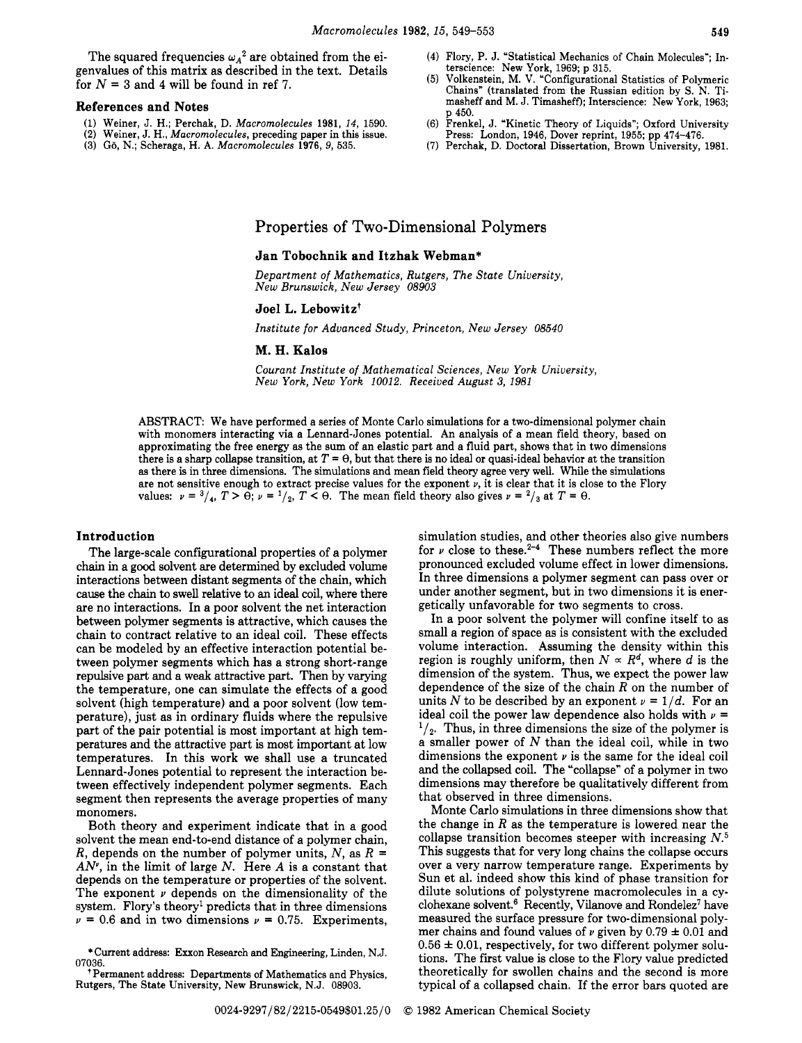The squared frequencies  $\omega_A^2$  are obtained from the ei- (4) Flory, P. J. "Statistical Mechanics of Chain Molecules"; Ingenvalues of this matrix as described in the text. Details for  $N = 3$  and 4 will be found in ref 7.

#### **References and Notes**

- (1) Weiner, J. H.; Perchak, D. Macromolecules **1981,** *14,* 1590.
- **(2)** Weiner, J. H., Macromolecules, preceding paper in this issue.
- (3) *G6,* N.; Scheraga, H. **A.** Macromolecules **1976,** 9, 535.
- Fractionce: New York, 1969; p 315.<br>Volkenstein, M. V. "Configurational Statistics of Polymeric
- Chains" (translated from the Russian edition by S. N. Timasheff and M. J. Timasheff); Interscience: New York, 1963; p 450.
- (6) Frenkel, J. "Kinetic Theory of Liquids"; Oxford University Press: London, 1946, Dover reprint, 1955; pp 474-476. (7) Perchak, D. Doctoral Dissertation, Brown University, 1981.
- 

# Properties of Two-Dimensional Polymers

# **Jan Tobochnik and Itzhak Webman\***

Department *of* Mathematics, Rutgers, The State University, New Brunswick, New Jersey 08903

## Joel L. Lebowitz<sup>+</sup>

Institute *for* Advanced Study, Princeton, New Jersey *08540* 

#### **M. H. Kalos**

Courant Institute of Mathematical Sciences, New York University, New York, New York 10012. Received August 3, 1981

ABSTRACT: We have performed a series of Monte Carlo simulations for a two-dimensional polymer chain with monomers interacting via a Lennard-Jones potential. An analysis of a mean field theory, based on approximating the free energy as the sum of an elastic part and a fluid part, shows that in two dimensions there is a sharp collapse transition, at  $T = \Theta$ , but that there is no ideal or quasi-ideal behavior at the transition **as** there is in three dimensions. The simulations and mean field theory agree very well. While the simulations are not sensitive enough to extract precise values for the exponent *v,* it is clear that it is close to the Flory values:  $\nu = \frac{3}{4}$ ,  $T > 0$ ;  $\nu = \frac{1}{2}$ ,  $T < 0$ . The mean field theory also gives  $\nu = \frac{2}{3}$  at  $T = 0$ .

# **Introduction**

The large-scale configurational properties of a polymer chain in a good solvent are determined by excluded volume interactions between distant segments of the chain, which cause the chain to swell relative to an ideal coil, where there are no interactions. In a poor solvent the net interaction between polymer segments is attractive, which causes the chain to contract relative to an ideal coil. These effects can be modeled by an effective interaction potential between polymer segments which has a strong short-range repulsive part and a weak attractive part. Then by varying the temperature, one can simulate the effects of a good solvent (high temperature) and a poor solvent (low temperature), just as in ordinary fluids where the repulsive part of the pair potential is most important at high temperatures and the attractive part is most important at low temperatures. In this work we shall use a truncated Lennard-Jones potential to represent the interaction between effectively independent polymer segments. Each segment then represents the average properties of many monomers.

Both theory and experiment indicate that in a good solvent the mean end-to-end distance of a polymer chain, *R*, depends on the number of polymer units,  $N$ , as  $R =$ *AN",* in the limit of large *N.* Here *A* is a constant that depends on the temperature or properties of the solvent. The exponent  $\nu$  depends on the dimensionality of the system. Flory's theory<sup>1</sup> predicts that in three dimensions  $\nu = 0.6$  and in two dimensions  $\nu = 0.75$ . Experiments,

simulation studies, and other theories also give numbers for  $\nu$  close to these.<sup>2-4</sup> These numbers reflect the more pronounced excluded volume effect in lower dimensions. In three dimensions a polymer segment can pass over or under another segment, but in two dimensions it is energetically unfavorable for two segments to cross.

In a poor solvent the polymer will confine itself to as small a region of space **as** is consistent with the excluded volume interaction. Assuming the density within this region is roughly uniform, then  $N \propto R^d$ , where *d* is the dimension of the system. Thus, we expect the power law dependence of the size of the chain *R* on the number of units *N* to be described by an exponent  $\nu = 1/d$ . For an ideal coil the power law dependence also holds with *v* =  $\frac{1}{2}$ . Thus, in three dimensions the size of the polymer is a smaller power of *N* than the ideal coil, while in two dimensions the exponent *v* is the same for the ideal coil and the collapsed coil. The "collapse" of a polymer in two dimensions may therefore be qualitatively different from that observed in three dimensions.

Monte Carlo simulations in three dimensions show that the change in *R* as the temperature is lowered near the collapse transition becomes steeper with increasing *N.5*  This suggests that for very long chains the collapse occurs over a very narrow temperature range. Experiments by Sun et al. indeed show this kind of phase transition for dilute solutions of polystyrene macromolecules in a cyclohexane solvent.6 Recently, Vilanove and Rondelez7 have measured the surface pressure for two-dimensional polymer chains and found values of  $\nu$  given by 0.79  $\pm$  0.01 and  $0.56 \pm 0.01$ , respectively, for two different polymer solutions. The first value is close to the Flory value predicted theoretically for swollen chains and the second is more typical of a collapsed chain. If the error bars quoted are

<sup>\*</sup>Current address: Exxon Research and Engineering, Linden, N.J. 07036.

<sup>&#</sup>x27;Permanent address: Departments of Mathematics and Physics, Rutgers, The State University, New Brunswick, N.J. 08903.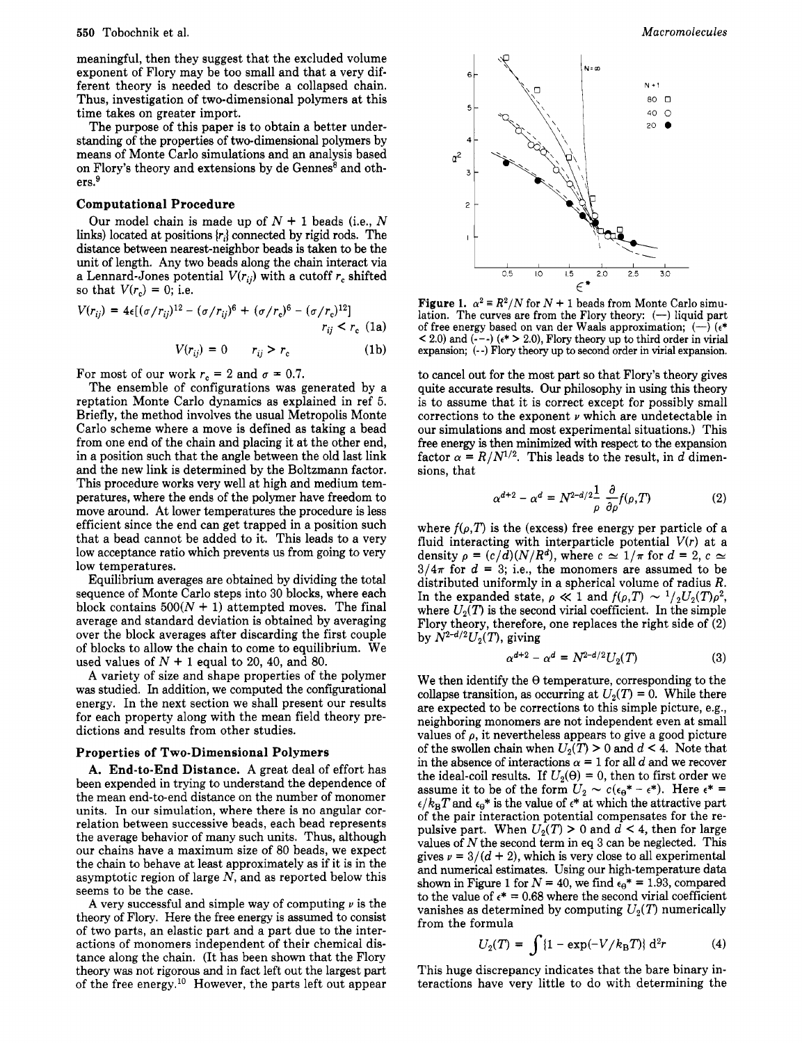meaningful, then they suggest that the excluded volume exponent of Flory may be too small and that a very different theory is needed to describe a collapsed chain. Thus, investigation of two-dimensional polymers at this time takes on greater import.

The purpose of this paper is to obtain a better understanding of the properties of two-dimensional polymers by means of Monte Carlo simulations and an analysis based on Flory's theory and extensions by de Gennes<sup>8</sup> and oth $ers.<sup>9</sup>$ 

#### **Computational Procedure**

Our model chain is made up of  $N + 1$  beads (i.e.,  $N$ links) located at positions *(ri)* connected by rigid rods. The distance between nearest-neighbor beads is taken to be the unit of length. Any two beads along the chain interact via a Lennard-Jones potential  $V(r_{ii})$  with a cutoff  $r_c$  shifted so that  $V(r_c) = 0$ ; i.e.

$$
V(r_{ij}) = 4\epsilon [(\sigma/r_{ij})^{12} - (\sigma/r_{ij})^6 + (\sigma/r_c)^6 - (\sigma/r_c)^{12}] \r_{ij} < r_c
$$
 (1a)  

$$
V(r_{ij}) = 0 \r_{ij} > r_c
$$
 (1b)

For most of our work  $r_c = 2$  and  $\sigma = 0.7$ .

The ensemble of configurations was generated by a reptation Monte Carlo dynamics as explained in ref *5.*  Briefly, the method involves the usual Metropolis Monte Carlo scheme where a move is defined as taking a bead from one end of the chain and placing it at the other end, in a position such that the angle between the old last link and the new link is determined by the Boltzmann factor. This procedure works very well at high and medium temperatures, where the ends of the polymer have freedom to move around. At lower temperatures the procedure is less efficient since the end can get trapped in a position such that a bead cannot be added to it. This leads to a very low acceptance ratio which prevents us from going to very low temperatures.

Equilibrium averages are obtained by dividing the total sequence of Monte Carlo steps into 30 blocks, where each block contains  $500(N + 1)$  attempted moves. The final average and standard deviation is obtained by averaging over the block averages after discarding the first couple of blocks to allow the chain to come to equilibrium. We used values of  $N + 1$  equal to 20, 40, and 80.

A variety of size and shape properties of the polymer was studied. In addition, we computed the configurational energy. In the next section we shall present our results for each property along with the mean field theory predictions and results from other studies.

#### **Properties of Two-Dimensional Polymers**

**A. End-to-End Distance.** A great deal of effort has been expended in trying to understand the dependence of the mean end-to-end distance on the number of monomer units. In our simulation, where there is no angular correlation between successive beads, each bead represents the average behavior of many such units. Thus, although our chains have a maximum size of 80 beads, we expect the chain to behave at least approximately **as** if it is in the asymptotic region of large *N,* and as reported below this seems to be the case.

A very successful and simple way of computing *v* is the theory of Flory. Here the free energy is assumed to consist of two parts, an elastic part and a part due to the interactions of monomers independent of their chemical distance along the chain. (It has been shown that the Flory theory was not rigorous and in fact left out the largest part of the free energy.1° However, the parts left out appear



**Figure 1.**  $\alpha^2 = R^2/N$  for  $N + 1$  beads from Monte Carlo simulation. The curves are from the Flory theory:  $(-)$  liquid part of free energy based on van der Waals approximation;  $(-)$  ( $\epsilon^*$  $(2.0)$  and  $(--)$   $(* > 2.0)$ , Flory theory up to third order in virial expansion; (--) Flory theory up to second order in virial expansion.

to cancel out for the most part so that Flory's theory gives quite accurate results. Our philosophy in using this theory is to assume that it is correct except for possibly small corrections to the exponent *v* which are undetectable in our simulations and most experimental situations.) This free energy is then minimized with respect to the expansion factor  $\alpha = R/N^{1/2}$ . This leads to the result, in *d* dimensions, that

$$
\alpha^{d+2} - \alpha^d = N^{2-d/2} \frac{1}{\rho} \frac{\partial}{\partial \rho} f(\rho, T) \tag{2}
$$

where  $f(\rho,T)$  is the (excess) free energy per particle of a fluid interacting with interparticle potential  $V(r)$  at a density  $\rho = (c/d)(N/R^d)$ , where  $c \simeq 1/\pi$  for  $d = 2$ ,  $c \simeq$  $3/4\pi$  for  $d = 3$ ; i.e., the monomers are assumed to be distributed uniformly in a spherical volume of radius *R.*  In the expanded state,  $\rho \ll 1$  and  $f(\rho,T) \sim {}^{1}/_{2}U_{2}(T)\rho^{2}$ , where  $U_2(T)$  is the second virial coefficient. In the simple Flory theory, therefore, one replaces the right side of *(2)*  by  $N^{2-d/2}U_2(T)$ , giving

$$
\alpha^{d+2} - \alpha^d = N^{2-d/2} U_2(T) \tag{3}
$$

We then identify the  $\theta$  temperature, corresponding to the collapse transition, as occurring at  $U_2(T) = 0$ . While there are expected to be corrections to this simple picture, e.g., neighboring monomers are not independent even at small values of  $\rho$ , it nevertheless appears to give a good picture of the swollen chain when  $U_2(T) > 0$  and  $d < 4$ . Note that in the absence of interactions  $\alpha = 1$  for all *d* and we recover the ideal-coil results. If  $U_2(\theta) = 0$ , then to first order we assume it to be of the form  $U_2 \sim c(\epsilon_\theta^* - \epsilon^*)$ . Here  $\epsilon^* =$  $\epsilon/k_BT$  and  $\epsilon_0^*$  is the value of  $\epsilon^*$  at which the attractive part of the pair interaction potential compensates for the repulsive part. When  $U_2(T) > 0$  and  $d < 4$ , then for large values of *N* the second term in eq **3** can be neglected. This gives  $\nu = 3/(d + 2)$ , which is very close to all experimental and numerical estimates. Using our high-temperature data shown in Figure 1 for  $N = 40$ , we find  $\epsilon_0^* = 1.93$ , compared to the value of  $\epsilon^* = 0.68$  where the second virial coefficient vanishes as determined by computing  $U_2(T)$  numerically from the formula

formula  

$$
U_2(T) = \int \{1 - \exp(-V/k_B T)\} d^2 r
$$
 (4)

This huge discrepancy indicates that the bare binary interactions have very little to do with determining the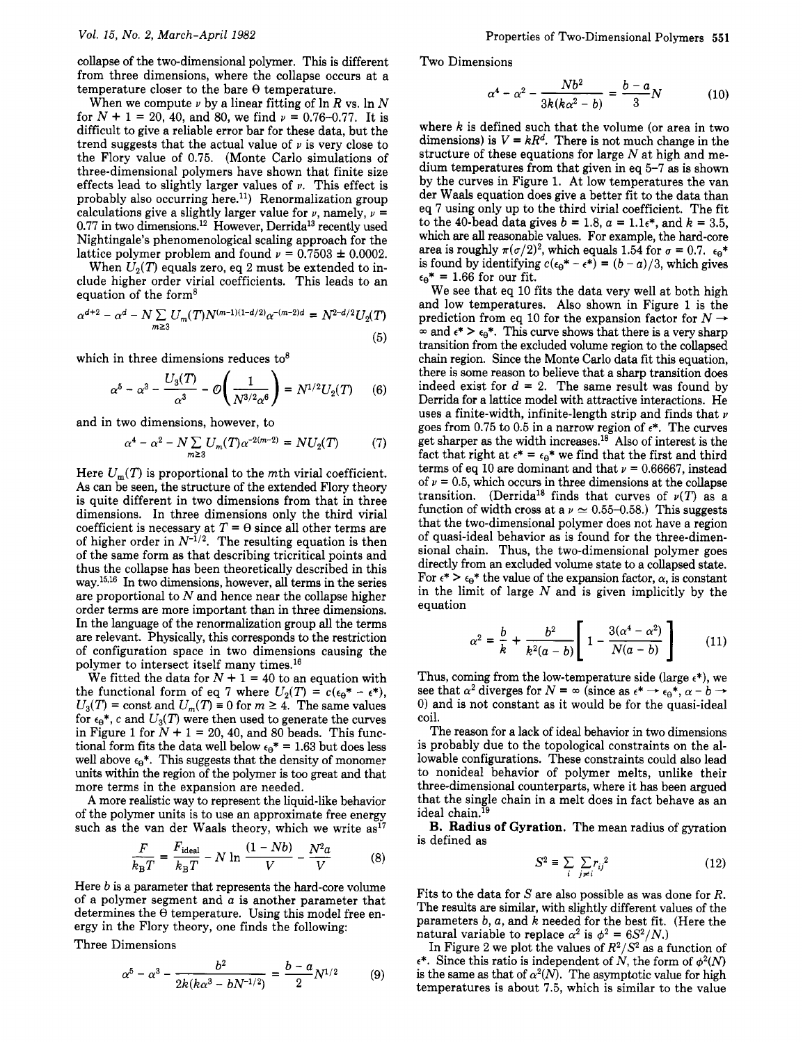collapse of the two-dimensional polymer. This is different from three dimensions, where the collapse occurs at a temperature closer to the bare *8* temperature.

When we compute  $\nu$  by a linear fitting of  $\ln R$  vs.  $\ln N$ for  $N + 1 = 20$ , 40, and 80, we find  $\nu = 0.76 - 0.77$ . It is difficult to give a reliable error bar for these data, but the trend suggests that the actual value of  $\nu$  is very close to the Flory value of 0.75. (Monte Carlo simulations of three-dimensional polymers have shown that finite size effects lead to slightly larger values of *v.* This effect is probably also occurring here.<sup>11</sup>) Renormalization group calculations give a slightly larger value for  $\nu$ , namely,  $\nu =$ 0.77 in two dimensions.<sup>12</sup> However, Derrida<sup>13</sup> recently used Nightingale's phenomenological scaling approach for the lattice polymer problem and found  $\nu = 0.7503 \pm 0.0002$ .

When  $U_2(T)$  equals zero, eq 2 must be extended to include higher order virial coefficients. This leads to an equation of the form8

$$
\alpha^{d+2} - \alpha^d - N \sum_{m \ge 3} U_m(T) N^{(m-1)(1-d/2)} \alpha^{-(m-2)d} = N^{2-d/2} U_2(T)
$$
\n(5)

which in three dimensions reduces to<sup>8</sup>

$$
\alpha^5 - \alpha^3 - \frac{U_3(T)}{\alpha^3} - \mathcal{O}\left(\frac{1}{N^{3/2} \alpha^6}\right) = N^{1/2} U_2(T) \qquad (6)
$$

and in two dimensions, however, to

$$
\alpha^4 - \alpha^2 - N \sum_{m \ge 3} U_m(T) \alpha^{-2(m-2)} = N U_2(T) \tag{7}
$$

Here  $U_m(T)$  is proportional to the *mth* virial coefficient. As can be seen, the structure of the extended Flory theory is quite different in two dimensions from that in three dimensions. In three dimensions only the third virial coefficient is necessary at  $T = \theta$  since all other terms are of higher order in  $N^{-1/2}$ . The resulting equation is then of the same form as that describing tricritical points and thus the collapse has been theoretically described in this way.<sup>15,16</sup> In two dimensions, however, all terms in the series are proportional to *N* and hence near the collapse higher order terms are more important than in three dimensions. In the language of the renormalization group all the terms are relevant. Physically, this corresponds to the restriction of configuration space in two dimensions causing the polymer to intersect itself many times.16

We fitted the data for  $N + 1 = 40$  to an equation with the functional form of eq 7 where  $U_2(T) = c(\epsilon_0^* - \epsilon^*),$  $U_3(T)$  = const and  $U_m(T) \equiv 0$  for  $m \geq 4$ . The same values for  $\epsilon_0^*$ , *c* and  $U_3(T)$  were then used to generate the curves in Figure 1 for  $N + 1 = 20, 40,$  and 80 beads. This functional form fits the data well below  $\epsilon_0^* = 1.63$  but does less well above  $\epsilon_0^*$ . This suggests that the density of monomer units within the region of the polymer is too great and that more terms in the expansion are needed.

A more realistic way to represent the liquid-like behavior of the polymer units is to use an approximate free energy such as the van der Waals theory, which we write  $as<sup>17</sup>$ 

$$
\frac{F}{k_{\rm B}T} = \frac{F_{\rm ideal}}{k_{\rm B}T} - N \ln \frac{(1 - Nb)}{V} - \frac{N^2 a}{V} \tag{8}
$$

Here *b* is a parameter that represents the hard-core volume of a polymer segment and *a* is another parameter that determines the *8* temperature. Using this model free energy in the Flory theory, one finds the following:

Three Dimensions

$$
\alpha^5 - \alpha^3 - \frac{b^2}{2k(k\alpha^3 - bN^{-1/2})} = \frac{b - a}{2} N^{1/2} \tag{9}
$$

Two Dimensions

$$
\alpha^4 - \alpha^2 - \frac{Nb^2}{3k(k\alpha^2 - b)} = \frac{b - a}{3}N\tag{10}
$$

where *k* is defined such that the volume (or area in two dimensions) is  $V = kR^d$ . There is not much change in the structure of these equations for large  $N$  at high and medium temperatures from that given in eq 5-7 **as** is shown by the curves in Figure **1.** At low temperatures the van der Waals equation does give a better fit to the data than eq 7 using only up to the third virial coefficient. The fit to the 40-bead data gives  $b = 1.8$ ,  $a = 1.1e^*$ , and  $k = 3.5$ , which are all reasonable values. For example, the hard-core area is roughly  $\pi(\sigma/2)^2$ , which equals 1.54 for  $\sigma = 0.7$ .  $\epsilon_0$ \* is found by identifying  $c(\epsilon_0^* - \epsilon^*) = (b - a)/3$ , which gives  $\epsilon_{\theta}^* = 1.66$  for our fit.

We see that eq **10** fits the data very well at both high We see that eq 10 fits the data very well at both high<br>and low temperatures. Also shown in Figure 1 is the<br>prediction from eq 10 for the expansion factor for  $N \rightarrow$ <br>and  $\bullet \searrow$  This may channel begin them. prediction from eq 10 for the expansion factor for  $N \to \infty$  and  $\epsilon^* > \epsilon_0^*$ . This curve shows that there is a very sharp transition from the excluded volume region to the collapsed chain region. Since the Monte Carlo data fit this equation, there is some reason to believe that a sharp transition does indeed exist for  $d = 2$ . The same result was found by Derrida for a lattice model with attractive interactions. He uses a finite-width, infinite-length strip and finds that *<sup>v</sup>* goes from  $0.75$  to  $0.5$  in a narrow region of  $\epsilon^*$ . The curves get sharper **as** the width increases.18 Also of interest is the fact that right at  $\epsilon^* = \epsilon_0^*$  we find that the first and third terms of eq 10 are dominant and that  $\nu = 0.66667$ , instead of  $\nu = 0.5$ , which occurs in three dimensions at the collapse transition. (Derrida<sup>18</sup> finds that curves of  $\nu(T)$  as a function of width cross at a  $\nu \approx 0.55$ -0.58.) This suggests that the two-dimensional polymer does not have a region of quasi-ideal behavior as is found for the three-dimensional chain. Thus, the two-dimensional polymer goes directly from an excluded volume state to a collapsed state. For  $\epsilon^*$  >  $\epsilon_0$ <sup>\*</sup> the value of the expansion factor,  $\alpha$ , is constant in the limit of large *N* and is given implicitly by the equation

$$
\alpha^2 = \frac{b}{k} + \frac{b^2}{k^2(a-b)} \left[ 1 - \frac{3(\alpha^4 - \alpha^2)}{N(a-b)} \right] \quad (11)
$$

Thus, coming from the low-temperature side (large  $\epsilon^*$ ), we Thus, coming from the low-temperature side (large  $\epsilon^*$ ), we see that  $\alpha^2$  diverges for  $N = \infty$  (since as  $\epsilon^* \rightarrow \epsilon_0^*, \alpha - b \rightarrow \infty$ ) see that  $\alpha^2$  diverges for  $N = \infty$  (since as  $\epsilon^* \to \epsilon_0^*$ ,  $\alpha - b \to 0$ ) and is not constant as it would be for the quasi-ideal coil.

The reason for a lack of ideal behavior in two dimensions is probably due to the topological constraints on the allowable configurations. These constraints could also lead to nonideal behavior of polymer melts, unlike their three-dimensional counterparts, where it has been argued that the single chain in a melt does in fact behave as an ideal chain.<sup>19</sup>

**B. Radius of Gyration.** The mean radius of gyration is defined as

$$
S^2 \equiv \sum_{i} \sum_{j \neq i} r_{ij}^2 \tag{12}
$$

Fits to the data for *S* are also possible **as** was done for *R.*  The results are similar, with slightly different values of the parameters *b, a,* and *k* needed for the best fit. (Here the natural variable to replace  $\alpha^2$  is  $\phi^2 = 6S^2/N$ .)

In Figure **2** we plot the values of *R2/S2* as a function of  $\epsilon^*$ . Since this ratio is independent of N, the form of  $\phi^2(N)$ is the same as that of  $\alpha^2(N)$ . The asymptotic value for high temperatures is about **7.5,** which is similar to the value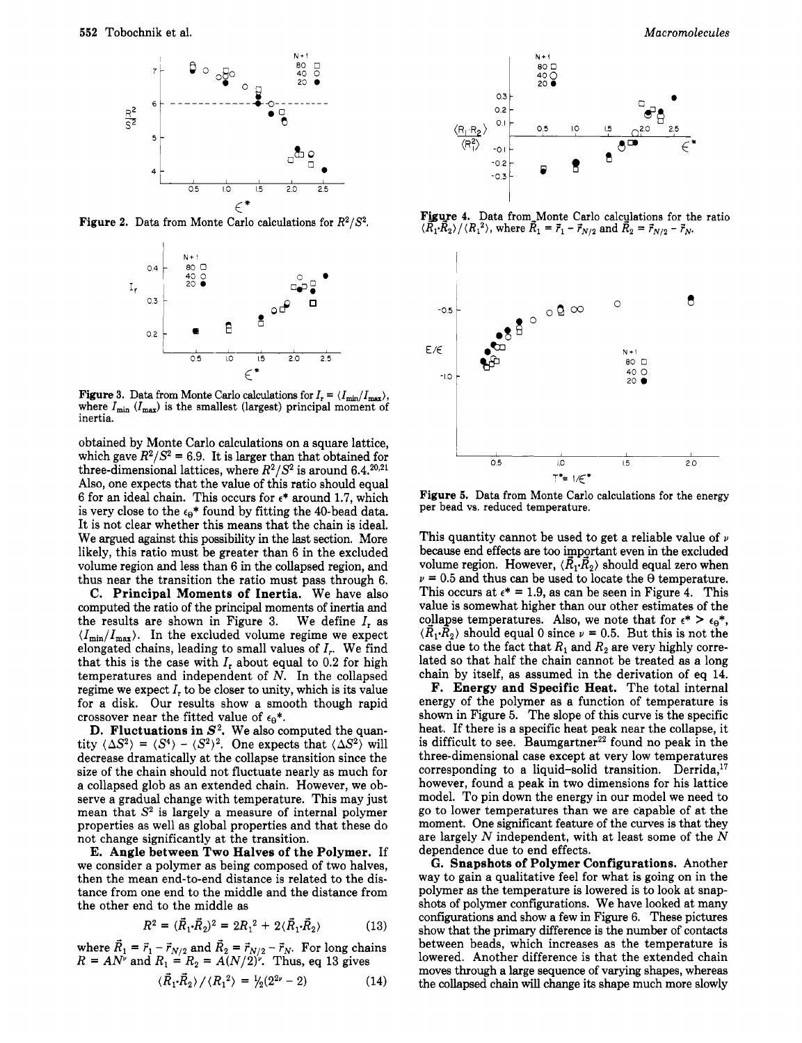

**Figure 2.** Data from Monte Carlo calculations for *R2/S2.* 



**Figure 3.** Data from Monte Carlo calculations for  $I_r = \langle I_{\text{min}}/I_{\text{max}} \rangle$ , where  $I_{\text{min}}$  ( $I_{\text{max}}$ ) is the smallest (largest) principal moment of inertia.

obtained by Monte Carlo calculations on a square lattice, which gave  $R^2/S^2 = 6.9$ . It is larger than that obtained for three-dimensional lattices, where  $R^2/S^2$  is around 6.4.<sup>20,21</sup> Also, one expects that the value of this ratio should equal 6 for an ideal chain. This occurs for  $\epsilon^*$  around 1.7, which is very close to the  $\epsilon_0^*$  found by fitting the 40-bead data. It is not clear whether this means that the chain is ideal. We argued against this possibility in the last section. More likely, this ratio must be greater than 6 in the excluded volume region and less than 6 in the collapsed region, and thus near the transition the ratio must pass through 6.

**C. Principal Moments of Inertia.** We have also computed the ratio of the principal moments of inertia and the results are shown in Figure 3. We define *I,* as  $\langle I_{\text{min}}/I_{\text{max}}\rangle$ . In the excluded volume regime we expect elongated chains, leading to small values of *I,.* We find that this is the case with  $I_r$  about equal to 0.2 for high temperatures and independent of *N.* In the collapsed regime we expect *I,* to be closer to unity, which is its value for a disk. Our results show a smooth though rapid crossover near the fitted value of  $\epsilon_0^*$ .

**D. Fluctuations in**  $S^2$ **.** We also computed the quantity  $(\Delta S^2) = (S^4) - (S^2)^2$ . One expects that  $(\Delta S^2)$  will decrease dramatically at the collapse transition since the size of the chain should not fluctuate nearly as much for a collapsed glob as an extended chain. However, we observe a gradual change with temperature. This may just mean that **S2** is largely a measure of internal polymer properties as well as global properties and that these do not change significantly at the transition.

**E. Angle between Two Halves of the Polymer.** If we consider a polymer as being composed of two halves, then the mean end-to-end distance is related to the distance from one end to the middle and the distance from the other end to the middle as

$$
R^2 = (\vec{R}_1 \cdot \vec{R}_2)^2 = 2R_1^2 + 2(\vec{R}_1 \cdot \vec{R}_2)
$$
 (13)

where  $\vec{R}_1 = \vec{r}_1 - \vec{r}_{N/2}$  and  $\vec{R}_2 = \vec{r}_{N/2} - \vec{r}_N$ . For long chains  $R = AN^{\tilde{v}}$  and  $R_1 = R_2 = A(N/2)^{\tilde{v}}$ . Thus, eq 13 gives

$$
\langle \vec{R}_1 \cdot \vec{R}_2 \rangle / \langle R_1^2 \rangle = \frac{1}{2} (2^{2\nu} - 2) \tag{14}
$$



Figure 4. Data from Monte Carlo calculations for the ratio  $\langle R_1, R_2 \rangle / \langle R_1^2 \rangle$ , where  $R_1 = \vec{r}_1 - \vec{r}_{N/2}$  and  $R_2 = \vec{r}_{N/2} - \vec{r}_N$ .



**Figure 5.** Data from Monte Carlo calculations for the energy per bead vs. reduced temperature.

This quantity cannot be used to get a reliable value of *<sup>v</sup>* because end effects are too important even in the excluded volume region. However,  $\langle \vec{R}_1 \cdot \vec{R}_2 \rangle$  should equal zero when  $\nu = 0.5$  and thus can be used to locate the  $\theta$  temperature. This occurs at  $\epsilon^* = 1.9$ , as can be seen in Figure 4. This value is somewhat higher than our other estimates of the collapse temperatures. Also, we note that for  $\epsilon^* > \epsilon_0^*$ ,  $\langle R_1 \cdot R_2 \rangle$  should equal 0 since  $\nu = 0.5$ . But this is not the case due to the fact that  $R_1$  and  $R_2$  are very highly correlated so that half the chain cannot be treated as a long chain by itself, as assumed in the derivation of eq 14.

**F. Energy and Specific Heat.** The total internal energy of the polymer as a function of temperature is shown in Figure 5. The slope of this curve is the specific heat. If there is a specific heat peak near the collapse, it is difficult to see. Baumgartner<sup>22</sup> found no peak in the three-dimensional case except at very low temperatures corresponding to a liquid-solid transition. Derrida,<sup>17</sup> however, found a peak in two dimensions for his lattice model. To pin down the energy in our model we need to go to lower temperatures than we are capable of at the moment. One significant feature of the curves is that they are largely *N* independent, with at least some of the *N*  dependence due to end effects.

**G. Snapshots of Polymer Configurations.** Another way to gain a qualitative feel for what is going on in the polymer **as** the temperature is lowered is to look at snapshots of polymer configurations. We have looked at many configurations and show a few in Figure 6. These pictures show that the primary difference is the number of contacts between beads, which increases as the temperature is lowered. Another difference is that the extended chain moves through a large sequence of varying shapes, whereas the collapsed chain will change its shape much more slowly